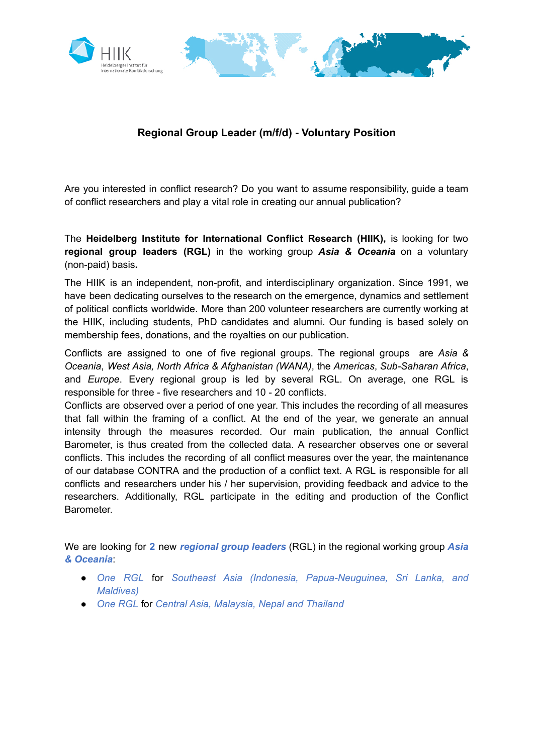

## **Regional Group Leader (m/f/d) - Voluntary Position**

Are you interested in conflict research? Do you want to assume responsibility, guide a team of conflict researchers and play a vital role in creating our annual publication?

The **Heidelberg Institute for International Conflict Research (HIIK),** is looking for two **regional group leaders (RGL)** in the working group *Asia & Oceania* on a voluntary (non-paid) basis**.**

The HIIK is an independent, non-profit, and interdisciplinary organization. Since 1991, we have been dedicating ourselves to the research on the emergence, dynamics and settlement of political conflicts worldwide. More than 200 volunteer researchers are currently working at the HIIK, including students, PhD candidates and alumni. Our funding is based solely on membership fees, donations, and the royalties on our publication.

Conflicts are assigned to one of five regional groups. The regional groups are *Asia & Oceania*, *West Asia, North Africa & Afghanistan (WANA)*, the *Americas*, *Sub-Saharan Africa*, and *Europe*. Every regional group is led by several RGL. On average, one RGL is responsible for three - five researchers and 10 - 20 conflicts.

Conflicts are observed over a period of one year. This includes the recording of all measures that fall within the framing of a conflict. At the end of the year, we generate an annual intensity through the measures recorded. Our main publication, the annual Conflict Barometer, is thus created from the collected data. A researcher observes one or several conflicts. This includes the recording of all conflict measures over the year, the maintenance of our database CONTRA and the production of a conflict text. A RGL is responsible for all conflicts and researchers under his / her supervision, providing feedback and advice to the researchers. Additionally, RGL participate in the editing and production of the Conflict Barometer.

We are looking for **2** new *regional group leaders* (RGL) in the regional working group *Asia & Oceania*:

- *One RGL* for *Southeast Asia (Indonesia, Papua-Neuguinea, Sri Lanka, and Maldives)*
- *● One RGL* for *Central Asia, Malaysia, Nepal and Thailand*